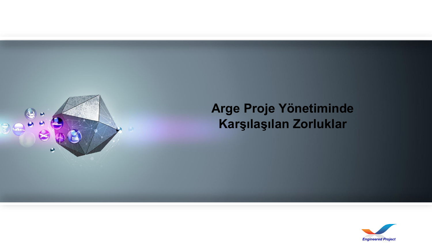

# **Arge Proje Yönetiminde Karşılaşılan Zorluklar**

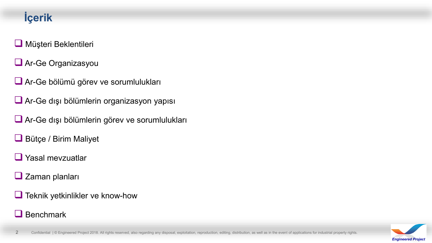# **İçerik**

#### **Müşteri Beklentileri**

- **Ar-Ge Organizasyou**
- Ar-Ge bölümü görev ve sorumlulukları
- Ar-Ge dışı bölümlerin organizasyon yapısı
- Ar-Ge dışı bölümlerin görev ve sorumlulukları
- Bütçe / Birim Maliyet
- $\Box$  Yasal mevzuatlar
- $\Box$  Zaman planları
- **Teknik yetkinlikler ve know-how**

#### $\Box$  Benchmark

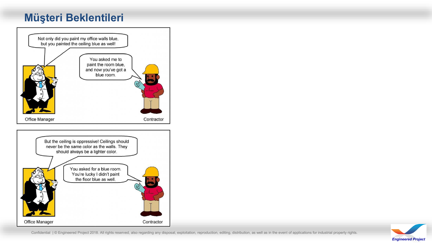# **Müşteri Beklentileri**



Confidential | © Engineered Project 2018. All rights reserved, also regarding any disposal, exploitation, reproduction, editing, distribution, as well as in the event of applications for industrial property rights.

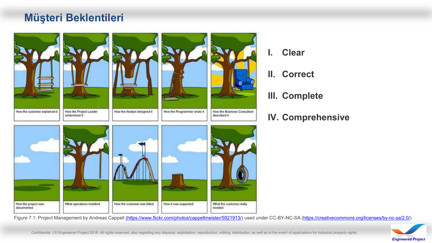### **Müşteri Beklentileri**



- **I. Clear**
- **II. Correct**
- **III. Complete**
- **IV. Comprehensive**

Figure 7.1: Project Management by Andreas Cappell [\(https://www.flickr.com/photos/cappellmeister/5921913/\)](https://www.flickr.com/photos/cappellmeister/5921913/) used under CC-BY-NC-SA ([https://creativecommons.org/licenses/by-nc-sa/2.0/\)](https://creativecommons.org/licenses/by-nc-sa/2.0/)

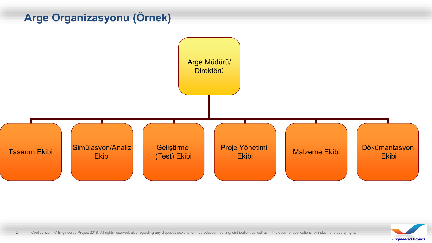# **Arge Organizasyonu (Örnek)**



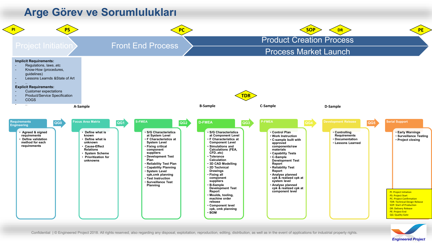



*Engineered Project*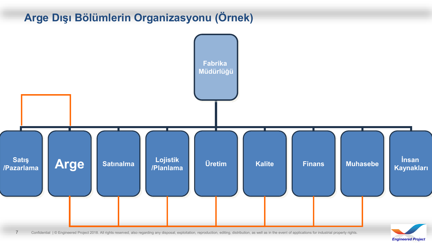# **Arge Dışı Bölümlerin Organizasyonu (Örnek)**

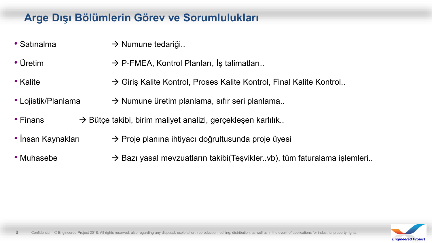# **Arge Dışı Bölümlerin Görev ve Sorumlulukları**

- Satınalma  $\rightarrow$  Numune tedariği..
- Üretim  $\rightarrow$  P-FMEA, Kontrol Planları, İş talimatları..
- Kalite  $\rightarrow$  Giriş Kalite Kontrol, Proses Kalite Kontrol, Final Kalite Kontrol..
- Lojistik/Planlama  $\rightarrow$  Numune üretim planlama, sıfır seri planlama..
- Finans  $\rightarrow$  Bütçe takibi, birim maliyet analizi, gerçekleşen karlılık..
- İnsan Kaynakları  $\rightarrow$  Proje planına ihtiyacı doğrultusunda proje üyesi
- Muhasebe  $\rightarrow$  Bazı yasal mevzuatların takibi(Teşvikler..vb), tüm faturalama işlemleri..

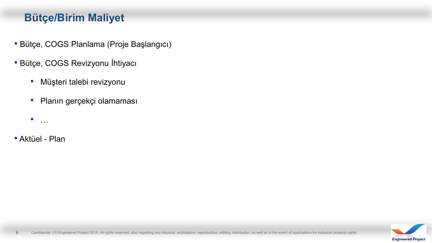# **Bütçe/Birim Maliyet**

- Bütçe, COGS Planlama (Proje Başlangıcı)
- Bütçe, COGS Revizyonu İhtiyacı
	- Müşteri talebi revizyonu
	- Planın gerçekçi olamaması
	- $\bullet$  …
- Aktüel Plan

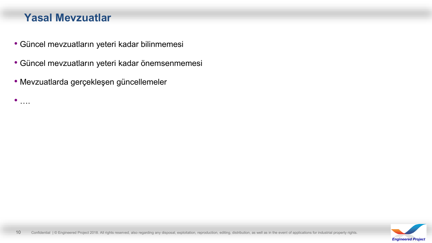#### **Yasal Mevzuatlar**

 $\bullet$  ….

- Güncel mevzuatların yeteri kadar bilinmemesi
- Güncel mevzuatların yeteri kadar önemsenmemesi
- Mevzuatlarda gerçekleşen güncellemeler

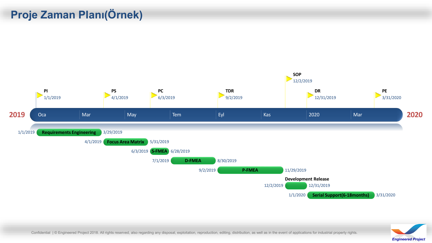# **Proje Zaman Planı(Örnek)**





Confidential | © Engineered Project 2018. All rights reserved, also regarding any disposal, exploitation, reproduction, editing, distribution, as well as in the event of applications for industrial property rights.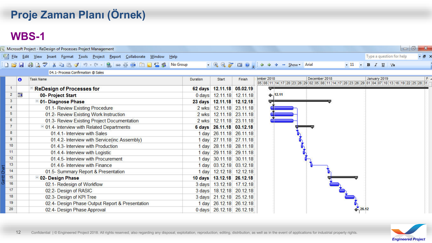# **Proje Zaman Planı (Örnek)**

# **WBS-1**

| Microsoft Project - ReDesign of Processes Project Management |           |                                                                                |                 |                           |                   |                                                                                                                                          |     |  |  |  |  |  |  |
|--------------------------------------------------------------|-----------|--------------------------------------------------------------------------------|-----------------|---------------------------|-------------------|------------------------------------------------------------------------------------------------------------------------------------------|-----|--|--|--|--|--|--|
|                                                              |           | Eile Edit View Insert Format Tools Project Report Collaborate Window Help      |                 |                           |                   | Type a question for help<br>· 日 ×                                                                                                        |     |  |  |  |  |  |  |
|                                                              |           | □ P B   中 Q <sup>サ</sup>   X 中 B イ り - (* -   &   ∞ ※ 美   白 Q 1 S S   No Group |                 |                           |                   | $\cdot$ Q Q $\cdot$ E 0 $\cdot$ $\Leftrightarrow$ $\div$ - Show $\cdot$ Arial<br>$\cdot$ 11 $\cdot$ B $I$ U $\sqrt{2}$                   |     |  |  |  |  |  |  |
| 04.1- Process Confirmation @ Sales                           |           |                                                                                |                 |                           |                   |                                                                                                                                          |     |  |  |  |  |  |  |
|                                                              | $\bullet$ | <b>Task Name</b>                                                               | <b>Duration</b> | Start                     | Finish            | December 2018<br>January 2019<br>ember 2018<br>05 08 11 14 17 20 23 26 29 02 05 08 11 14 17 20 23 26 29 01 04 07 10 13 16 19 22 25 28 31 | FL. |  |  |  |  |  |  |
| $\mathbf{1}$                                                 |           | <b>ReDesign of Processes for</b>                                               | 62 days         |                           | 12.11.18 05.02.19 |                                                                                                                                          |     |  |  |  |  |  |  |
| $\overline{2}$                                               | E         | 00- Project Start                                                              |                 | 0 days 12.11.18 12.11.18  |                   | $+ 12.11$                                                                                                                                |     |  |  |  |  |  |  |
| $3^{\circ}$                                                  |           | <sup>=</sup> 01- Diagnose Phase                                                |                 | 23 days 12.11.18 12.12.18 |                   |                                                                                                                                          |     |  |  |  |  |  |  |
| 4                                                            |           | 01.1- Review Existing Procedure                                                |                 | 2 wks 12.11.18 23.11.18   |                   |                                                                                                                                          |     |  |  |  |  |  |  |
| 5                                                            |           | 01.2- Review Existing Work Instruction                                         |                 | 2 wks 12.11.18 23.11.18   |                   |                                                                                                                                          |     |  |  |  |  |  |  |
| 6                                                            |           | 01.3- Review Existing Project Documentation                                    |                 | 2 wks 12.11.18 23.11.18   |                   |                                                                                                                                          |     |  |  |  |  |  |  |
| $\mathbf{7}$                                                 |           | 101.4- Interview with Related Departments                                      |                 | 6 days 26.11.18 03.12.18  |                   |                                                                                                                                          |     |  |  |  |  |  |  |
| 8                                                            |           | 01.4.1- Interview with Sales                                                   |                 | 1 day 26.11.18 26.11.18   |                   |                                                                                                                                          |     |  |  |  |  |  |  |
| 9                                                            |           | 01.4.2- Interview with Service(inc Assembly)                                   |                 | 1 day 27.11.18 27.11.18   |                   |                                                                                                                                          |     |  |  |  |  |  |  |
| 10                                                           |           | 01.4.3- Interview with Production                                              |                 | 1 day 28.11.18 28.11.18   |                   |                                                                                                                                          |     |  |  |  |  |  |  |
| 11                                                           |           | 01.4.4- Interview with Logistic                                                |                 | 1 day 29.11.18 29.11.18   |                   |                                                                                                                                          |     |  |  |  |  |  |  |
| 12                                                           |           | 01.4.5- Interview with Procurement                                             |                 | 1 day 30.11.18 30.11.18   |                   |                                                                                                                                          |     |  |  |  |  |  |  |
| 13 <sup>°</sup>                                              |           | 01.4.6- Interview with Finance                                                 |                 | 1 day 03.12.18 03.12.18   |                   |                                                                                                                                          |     |  |  |  |  |  |  |
| 14                                                           |           | 01.5- Summary Report & Presentation                                            |                 | 1 day 12.12.18 12.12.18   |                   |                                                                                                                                          |     |  |  |  |  |  |  |
| 15                                                           |           | <sup>=</sup> 02- Design Phase                                                  |                 | 10 days 13.12.18 26.12.18 |                   |                                                                                                                                          |     |  |  |  |  |  |  |
| 16                                                           |           | 02.1- Redesign of Workflow                                                     |                 | 3 days 13.12.18 17.12.18  |                   |                                                                                                                                          |     |  |  |  |  |  |  |
| 17                                                           |           | 02.2- Design of RASIC                                                          |                 | 3 days 18.12.18 20.12.18  |                   |                                                                                                                                          |     |  |  |  |  |  |  |
| 18                                                           |           | 02.3- Design of KPI Tree                                                       |                 | 3 days 21.12.18 25.12.18  |                   |                                                                                                                                          |     |  |  |  |  |  |  |
| 19                                                           |           | 02.4- Design Phase Output Report & Presentation                                |                 | 1 day 26.12.18 26.12.18   |                   |                                                                                                                                          |     |  |  |  |  |  |  |
| 20                                                           |           | 02.4- Design Phase Approval                                                    |                 | 0 days 26.12.18 26.12.18  |                   | 26.12                                                                                                                                    |     |  |  |  |  |  |  |
|                                                              |           |                                                                                |                 |                           |                   |                                                                                                                                          |     |  |  |  |  |  |  |

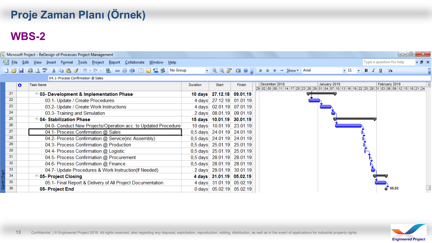# **Proje Zaman Planı (Örnek)**

# **WBS-2**

|                                    | $\Box$<br>Microsoft Project - ReDesign of Processes Project Management |                                                                                                                                        |          |                            |        |                                                                                                                                                      |                                                                                                                            |  |  |  |  |  |
|------------------------------------|------------------------------------------------------------------------|----------------------------------------------------------------------------------------------------------------------------------------|----------|----------------------------|--------|------------------------------------------------------------------------------------------------------------------------------------------------------|----------------------------------------------------------------------------------------------------------------------------|--|--|--|--|--|
|                                    |                                                                        | [ ] Eile <u>E</u> dit <u>V</u> iew Insert F <u>o</u> rmat <u>T</u> ools Project <u>R</u> eport Collaborate <u>W</u> indow <u>H</u> elp |          |                            |        |                                                                                                                                                      | $ B$ $\times$<br>Type a question for help                                                                                  |  |  |  |  |  |
|                                    |                                                                        | ┆D 6 G   6 Q ∜   X & 6 G √   9 · (' -   &   ∞ ☆ ☆   Ei Q Z \$   No Group                                                               |          |                            |        | $\cdot$ $\mathbb{R} \otimes \mathbb{Z}$ $\mathbb{Z} \otimes \mathbb{Z}$ : $\Leftrightarrow \Rightarrow \Rightarrow \Rightarrow$ Show $\cdot$   Arial | $-11 - B I \underline{U} \nabla$                                                                                           |  |  |  |  |  |
| 04.1- Process Confirmation @ Sales |                                                                        |                                                                                                                                        |          |                            |        |                                                                                                                                                      |                                                                                                                            |  |  |  |  |  |
|                                    | ō                                                                      | <b>Task Name</b>                                                                                                                       | Duration | Start                      | Finish | December 2018                                                                                                                                        | February 2019<br>January 2019<br>29 02 05 08 11 14 17 20 23 26 29 01 04 07 10 13 16 19 22 25 28 31 03 06 09 12 15 18 21 24 |  |  |  |  |  |
|                                    | 21                                                                     | $\Box$ 03- Development & Implementation Phase                                                                                          |          | 10 days 27.12.18 09.01.19  |        |                                                                                                                                                      |                                                                                                                            |  |  |  |  |  |
|                                    | 22                                                                     | 03.1- Update / Create Procedures                                                                                                       |          | 4 days 27.12.18 01.01.19   |        |                                                                                                                                                      |                                                                                                                            |  |  |  |  |  |
|                                    | 23                                                                     | 03.2- Update / Create Work Instructions                                                                                                |          | 4 days 02.01.19 07.01.19   |        |                                                                                                                                                      |                                                                                                                            |  |  |  |  |  |
|                                    | 24                                                                     | 03.3- Training and Simulation                                                                                                          |          | 2 days 08.01.19 09.01.19   |        |                                                                                                                                                      |                                                                                                                            |  |  |  |  |  |
|                                    | 25                                                                     | $\Xi$ 04- Stabilization Phase                                                                                                          | 15 days  | 10.01.19 30.01.19          |        |                                                                                                                                                      |                                                                                                                            |  |  |  |  |  |
|                                    | 26                                                                     | 04.0- Conduct New Projects/Operation acc. to Updated Procedure                                                                         |          | 10 days 10.01.19 23.01.19  |        |                                                                                                                                                      |                                                                                                                            |  |  |  |  |  |
|                                    | 27                                                                     | 04.1- Process Confirmation @ Sales                                                                                                     |          | 0,5 days 24.01.19 24.01.19 |        |                                                                                                                                                      |                                                                                                                            |  |  |  |  |  |
|                                    | 28                                                                     | 04.2- Process Confirmation @ Service(inc Assembly)                                                                                     |          | 0,5 days 24.01.19 24.01.19 |        |                                                                                                                                                      |                                                                                                                            |  |  |  |  |  |
|                                    | 29                                                                     | 04.3- Process Confirmation @ Production                                                                                                |          | 0,5 days 25.01.19 25.01.19 |        |                                                                                                                                                      |                                                                                                                            |  |  |  |  |  |
|                                    | 30                                                                     | 04.4- Process Confirmation @ Logistic                                                                                                  |          | 0,5 days 25.01.19 25.01.19 |        |                                                                                                                                                      |                                                                                                                            |  |  |  |  |  |
|                                    | 31                                                                     | 04.5- Process Confirmation @ Procurement                                                                                               |          | 0,5 days 28.01.19 28.01.19 |        |                                                                                                                                                      |                                                                                                                            |  |  |  |  |  |
|                                    | 32                                                                     | 04.6- Process Confirmation @ Finance                                                                                                   |          | 0,5 days 28.01.19 28.01.19 |        |                                                                                                                                                      |                                                                                                                            |  |  |  |  |  |
|                                    | 33                                                                     | 04.7- Update Procedures & Work Instruction(If Needed)                                                                                  |          | 2 days 29.01.19 30.01.19   |        |                                                                                                                                                      |                                                                                                                            |  |  |  |  |  |
|                                    | 34                                                                     | $\Box$ 05- Project Closing                                                                                                             |          | 4 days 31.01.19 05.02.19   |        |                                                                                                                                                      |                                                                                                                            |  |  |  |  |  |
|                                    | 35                                                                     | 05.1- Final Report & Delivery of All Project Documentation                                                                             |          | 4 days 31.01.19 05.02.19   |        |                                                                                                                                                      |                                                                                                                            |  |  |  |  |  |
|                                    | 36                                                                     | 05- Project End                                                                                                                        |          | 0 days 05.02.19 05.02.19   |        |                                                                                                                                                      | 05.02                                                                                                                      |  |  |  |  |  |

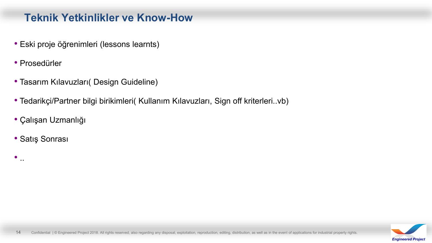## **Teknik Yetkinlikler ve Know-How**

- Eski proje öğrenimleri (lessons learnts)
- Prosedürler
- Tasarım Kılavuzları( Design Guideline)
- Tedarikçi/Partner bilgi birikimleri( Kullanım Kılavuzları, Sign off kriterleri..vb)
- Çalışan Uzmanlığı
- Satış Sonrası

 $\bullet$  ..

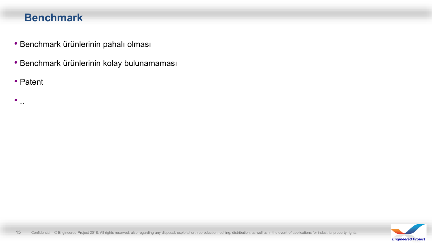### **Benchmark**

- Benchmark ürünlerinin pahalı olması
- Benchmark ürünlerinin kolay bulunamaması
- Patent

 $\bullet$  ...

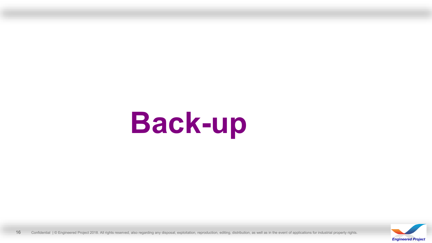# **Back-up**



16 Confidential | © Engineered Project 2018. All rights reserved, also regarding any disposal, exploitation, reproduction, editing, distribution, as well as in the event of applications for industrial property rights.